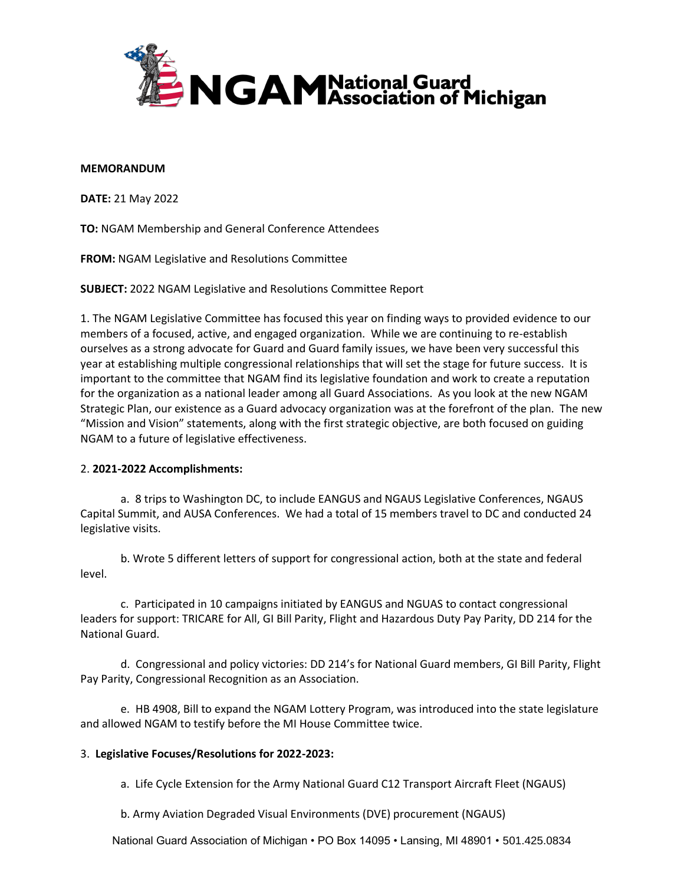

## **MEMORANDUM**

**DATE:** 21 May 2022

**TO:** NGAM Membership and General Conference Attendees

**FROM:** NGAM Legislative and Resolutions Committee

**SUBJECT:** 2022 NGAM Legislative and Resolutions Committee Report

1. The NGAM Legislative Committee has focused this year on finding ways to provided evidence to our members of a focused, active, and engaged organization. While we are continuing to re-establish ourselves as a strong advocate for Guard and Guard family issues, we have been very successful this year at establishing multiple congressional relationships that will set the stage for future success. It is important to the committee that NGAM find its legislative foundation and work to create a reputation for the organization as a national leader among all Guard Associations. As you look at the new NGAM Strategic Plan, our existence as a Guard advocacy organization was at the forefront of the plan. The new "Mission and Vision" statements, along with the first strategic objective, are both focused on guiding NGAM to a future of legislative effectiveness.

## 2. **2021-2022 Accomplishments:**

a. 8 trips to Washington DC, to include EANGUS and NGAUS Legislative Conferences, NGAUS Capital Summit, and AUSA Conferences. We had a total of 15 members travel to DC and conducted 24 legislative visits.

b. Wrote 5 different letters of support for congressional action, both at the state and federal level.

c. Participated in 10 campaigns initiated by EANGUS and NGUAS to contact congressional leaders for support: TRICARE for All, GI Bill Parity, Flight and Hazardous Duty Pay Parity, DD 214 for the National Guard.

d. Congressional and policy victories: DD 214's for National Guard members, GI Bill Parity, Flight Pay Parity, Congressional Recognition as an Association.

e. HB 4908, Bill to expand the NGAM Lottery Program, was introduced into the state legislature and allowed NGAM to testify before the MI House Committee twice.

## 3. **Legislative Focuses/Resolutions for 2022-2023:**

a. Life Cycle Extension for the Army National Guard C12 Transport Aircraft Fleet (NGAUS)

b. Army Aviation Degraded Visual Environments (DVE) procurement (NGAUS)

National Guard Association of Michigan • PO Box 14095 • Lansing, MI 48901 • 501.425.0834